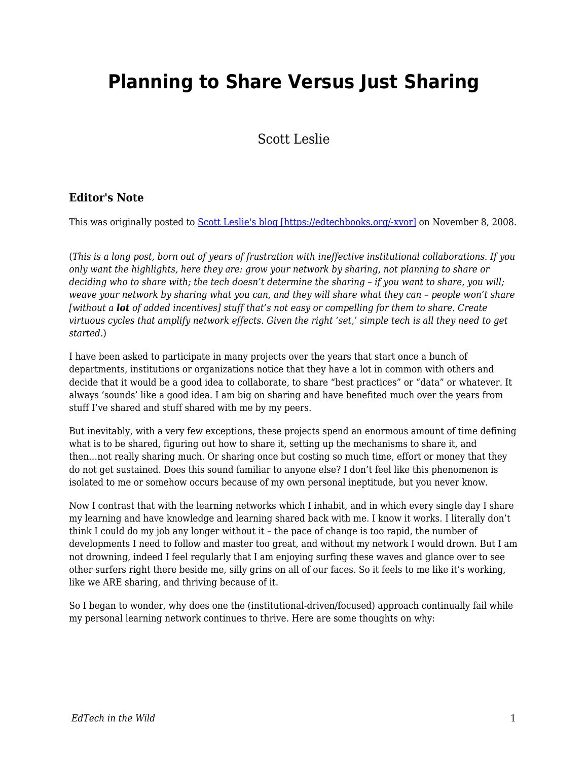# **Planning to Share Versus Just Sharing**

Scott Leslie

#### **Editor's Note**

This was originally posted to **Scott Leslie's blog [https://edtechbooks.org/-xvor]** on November 8, 2008.

(*This is a long post, born out of years of frustration with ineffective institutional collaborations. If you only want the highlights, here they are: grow your network by sharing, not planning to share or deciding who to share with; the tech doesn't determine the sharing – if you want to share, you will; weave your network by sharing what you can, and they will share what they can – people won't share [without a lot of added incentives] stuff that's not easy or compelling for them to share. Create virtuous cycles that amplify network effects. Given the right 'set,' simple tech is all they need to get started.*)

I have been asked to participate in many projects over the years that start once a bunch of departments, institutions or organizations notice that they have a lot in common with others and decide that it would be a good idea to collaborate, to share "best practices" or "data" or whatever. It always 'sounds' like a good idea. I am big on sharing and have benefited much over the years from stuff I've shared and stuff shared with me by my peers.

But inevitably, with a very few exceptions, these projects spend an enormous amount of time defining what is to be shared, figuring out how to share it, setting up the mechanisms to share it, and then…not really sharing much. Or sharing once but costing so much time, effort or money that they do not get sustained. Does this sound familiar to anyone else? I don't feel like this phenomenon is isolated to me or somehow occurs because of my own personal ineptitude, but you never know.

Now I contrast that with the learning networks which I inhabit, and in which every single day I share my learning and have knowledge and learning shared back with me. I know it works. I literally don't think I could do my job any longer without it – the pace of change is too rapid, the number of developments I need to follow and master too great, and without my network I would drown. But I am not drowning, indeed I feel regularly that I am enjoying surfing these waves and glance over to see other surfers right there beside me, silly grins on all of our faces. So it feels to me like it's working, like we ARE sharing, and thriving because of it.

So I began to wonder, why does one the (institutional-driven/focused) approach continually fail while my personal learning network continues to thrive. Here are some thoughts on why: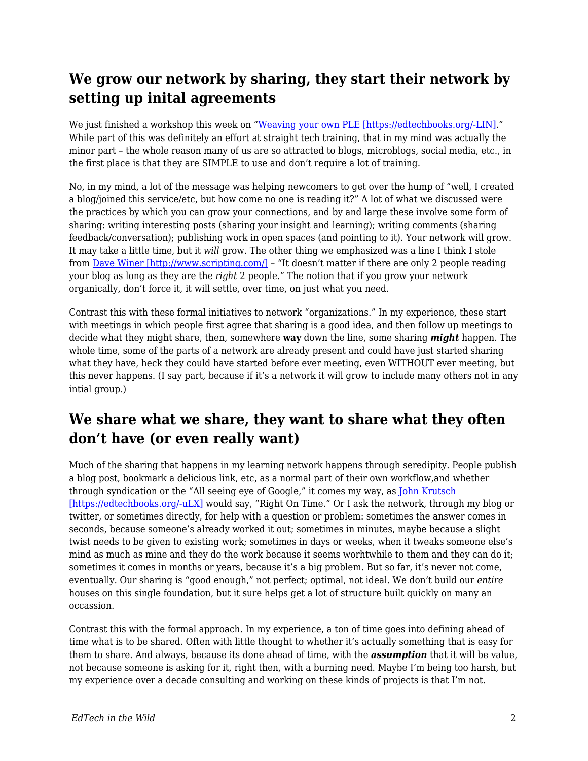## **We grow our network by sharing, they start their network by setting up inital agreements**

We just finished a workshop this week on "[Weaving your own PLE \[https://edtechbooks.org/-LIN\].](http://edtechpost.wikispaces.com/PLE+workshop)" While part of this was definitely an effort at straight tech training, that in my mind was actually the minor part – the whole reason many of us are so attracted to blogs, microblogs, social media, etc., in the first place is that they are SIMPLE to use and don't require a lot of training.

No, in my mind, a lot of the message was helping newcomers to get over the hump of "well, I created a blog/joined this service/etc, but how come no one is reading it?" A lot of what we discussed were the practices by which you can grow your connections, and by and large these involve some form of sharing: writing interesting posts (sharing your insight and learning); writing comments (sharing feedback/conversation); publishing work in open spaces (and pointing to it). Your network will grow. It may take a little time, but it *will* grow. The other thing we emphasized was a line I think I stole from [Dave Winer \[http://www.scripting.com/\]](http://www.scripting.com/) - "It doesn't matter if there are only 2 people reading your blog as long as they are the *right* 2 people." The notion that if you grow your network organically, don't force it, it will settle, over time, on just what you need.

Contrast this with these formal initiatives to network "organizations." In my experience, these start with meetings in which people first agree that sharing is a good idea, and then follow up meetings to decide what they might share, then, somewhere **way** down the line, some sharing *might* happen. The whole time, some of the parts of a network are already present and could have just started sharing what they have, heck they could have started before ever meeting, even WITHOUT ever meeting, but this never happens. (I say part, because if it's a network it will grow to include many others not in any intial group.)

### **We share what we share, they want to share what they often don't have (or even really want)**

Much of the sharing that happens in my learning network happens through seredipity. People publish a blog post, bookmark a delicious link, etc, as a normal part of their own workflow,and whether through syndication or the "All seeing eye of Google," it comes my way, as [John Krutsch](http://technagogy.learningfield.org/) [\[https://edtechbooks.org/-uLX\]](http://technagogy.learningfield.org/) would say, "Right On Time." Or I ask the network, through my blog or twitter, or sometimes directly, for help with a question or problem: sometimes the answer comes in seconds, because someone's already worked it out; sometimes in minutes, maybe because a slight twist needs to be given to existing work; sometimes in days or weeks, when it tweaks someone else's mind as much as mine and they do the work because it seems worhtwhile to them and they can do it; sometimes it comes in months or years, because it's a big problem. But so far, it's never not come, eventually. Our sharing is "good enough," not perfect; optimal, not ideal. We don't build our *entire* houses on this single foundation, but it sure helps get a lot of structure built quickly on many an occassion.

Contrast this with the formal approach. In my experience, a ton of time goes into defining ahead of time what is to be shared. Often with little thought to whether it's actually something that is easy for them to share. And always, because its done ahead of time, with the *assumption* that it will be value, not because someone is asking for it, right then, with a burning need. Maybe I'm being too harsh, but my experience over a decade consulting and working on these kinds of projects is that I'm not.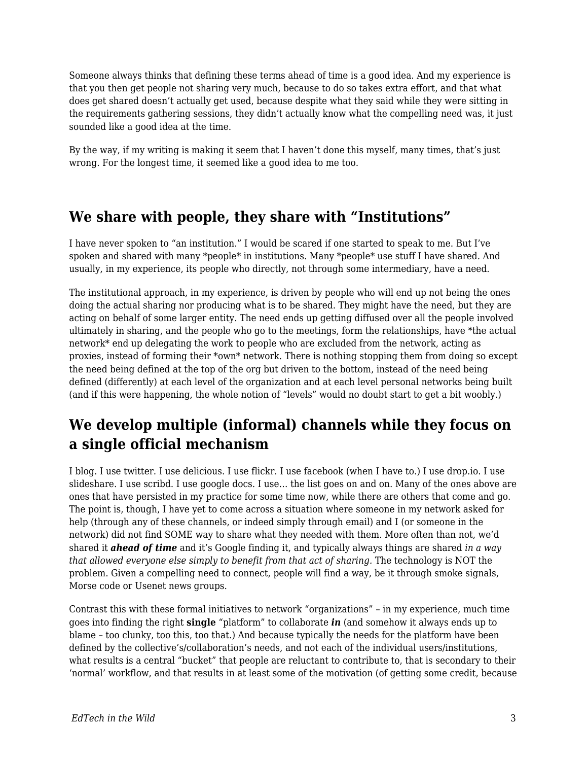Someone always thinks that defining these terms ahead of time is a good idea. And my experience is that you then get people not sharing very much, because to do so takes extra effort, and that what does get shared doesn't actually get used, because despite what they said while they were sitting in the requirements gathering sessions, they didn't actually know what the compelling need was, it just sounded like a good idea at the time.

By the way, if my writing is making it seem that I haven't done this myself, many times, that's just wrong. For the longest time, it seemed like a good idea to me too.

#### **We share with people, they share with "Institutions"**

I have never spoken to "an institution." I would be scared if one started to speak to me. But I've spoken and shared with many \*people\* in institutions. Many \*people\* use stuff I have shared. And usually, in my experience, its people who directly, not through some intermediary, have a need.

The institutional approach, in my experience, is driven by people who will end up not being the ones doing the actual sharing nor producing what is to be shared. They might have the need, but they are acting on behalf of some larger entity. The need ends up getting diffused over all the people involved ultimately in sharing, and the people who go to the meetings, form the relationships, have \*the actual network\* end up delegating the work to people who are excluded from the network, acting as proxies, instead of forming their \*own\* network. There is nothing stopping them from doing so except the need being defined at the top of the org but driven to the bottom, instead of the need being defined (differently) at each level of the organization and at each level personal networks being built (and if this were happening, the whole notion of "levels" would no doubt start to get a bit woobly.)

#### **We develop multiple (informal) channels while they focus on a single official mechanism**

I blog. I use twitter. I use delicious. I use flickr. I use facebook (when I have to.) I use drop.io. I use slideshare. I use scribd. I use google docs. I use… the list goes on and on. Many of the ones above are ones that have persisted in my practice for some time now, while there are others that come and go. The point is, though, I have yet to come across a situation where someone in my network asked for help (through any of these channels, or indeed simply through email) and I (or someone in the network) did not find SOME way to share what they needed with them. More often than not, we'd shared it *ahead of time* and it's Google finding it, and typically always things are shared *in a way that allowed everyone else simply to benefit from that act of sharing.* The technology is NOT the problem. Given a compelling need to connect, people will find a way, be it through smoke signals, Morse code or Usenet news groups.

Contrast this with these formal initiatives to network "organizations" – in my experience, much time goes into finding the right **single** "platform" to collaborate *in* (and somehow it always ends up to blame – too clunky, too this, too that.) And because typically the needs for the platform have been defined by the collective's/collaboration's needs, and not each of the individual users/institutions, what results is a central "bucket" that people are reluctant to contribute to, that is secondary to their 'normal' workflow, and that results in at least some of the motivation (of getting some credit, because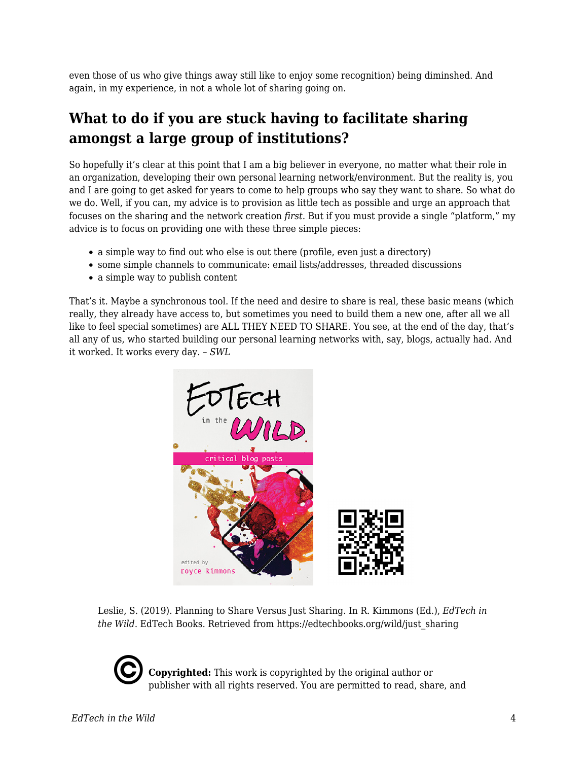even those of us who give things away still like to enjoy some recognition) being diminshed. And again, in my experience, in not a whole lot of sharing going on.

# **What to do if you are stuck having to facilitate sharing amongst a large group of institutions?**

So hopefully it's clear at this point that I am a big believer in everyone, no matter what their role in an organization, developing their own personal learning network/environment. But the reality is, you and I are going to get asked for years to come to help groups who say they want to share. So what do we do. Well, if you can, my advice is to provision as little tech as possible and urge an approach that focuses on the sharing and the network creation *first*. But if you must provide a single "platform," my advice is to focus on providing one with these three simple pieces:

- a simple way to find out who else is out there (profile, even just a directory)
- some simple channels to communicate: email lists/addresses, threaded discussions
- a simple way to publish content

That's it. Maybe a synchronous tool. If the need and desire to share is real, these basic means (which really, they already have access to, but sometimes you need to build them a new one, after all we all like to feel special sometimes) are ALL THEY NEED TO SHARE. You see, at the end of the day, that's all any of us, who started building our personal learning networks with, say, blogs, actually had. And it worked. It works every day. – *SWL*



Leslie, S. (2019). Planning to Share Versus Just Sharing. In R. Kimmons (Ed.), *EdTech in the Wild*. EdTech Books. Retrieved from https://edtechbooks.org/wild/just\_sharing